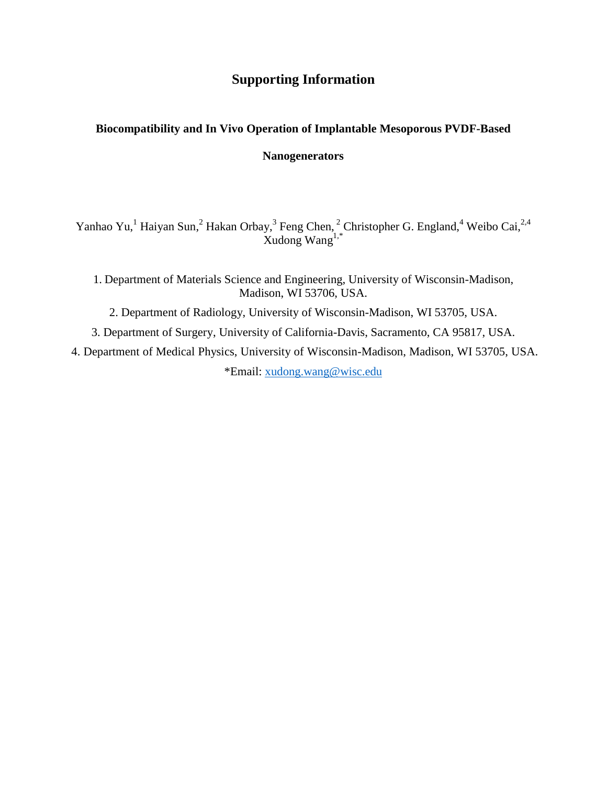## **Supporting Information**

## **Biocompatibility and In Vivo Operation of Implantable Mesoporous PVDF-Based**

## **Nanogenerators**

Yanhao Yu, <sup>1</sup> Haiyan Sun, <sup>2</sup> Hakan Orbay, <sup>3</sup> Feng Chen, <sup>2</sup> Christopher G. England, <sup>4</sup> Weibo Cai, <sup>2,4</sup> Xudong Wang1,\*

1. Department of Materials Science and Engineering, University of Wisconsin-Madison, Madison, WI 53706, USA.

2. Department of Radiology, University of Wisconsin-Madison, WI 53705, USA.

3. Department of Surgery, University of California-Davis, Sacramento, CA 95817, USA.

4. Department of Medical Physics, University of Wisconsin-Madison, Madison, WI 53705, USA. \*Email: [xudong.wang@wisc.edu](mailto:xudong.wang@wisc.edu)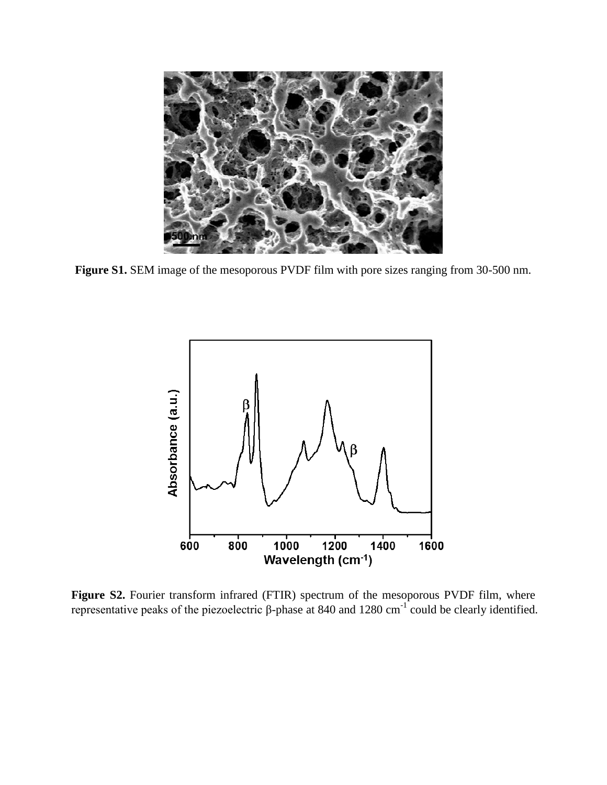

**Figure S1.** SEM image of the mesoporous PVDF film with pore sizes ranging from 30-500 nm.



**Figure S2.** Fourier transform infrared (FTIR) spectrum of the mesoporous PVDF film, where representative peaks of the piezoelectric β-phase at 840 and 1280 cm<sup>-1</sup> could be clearly identified.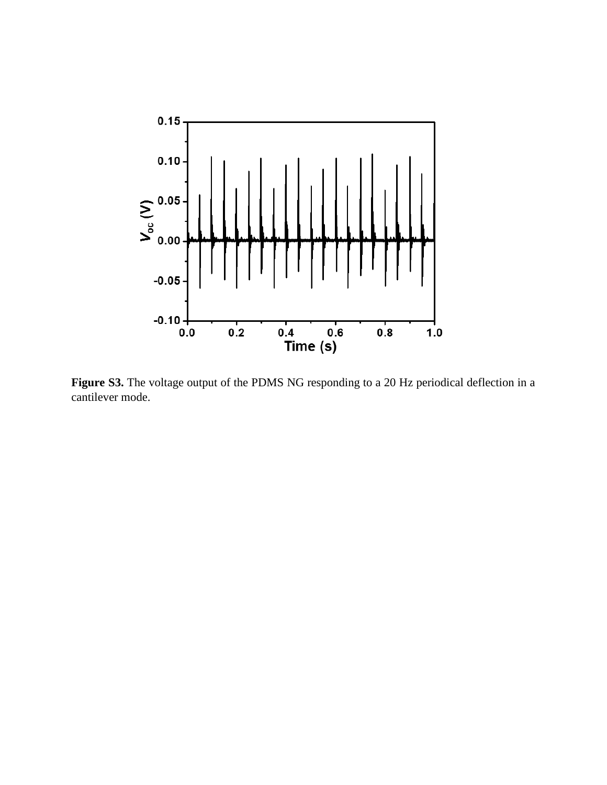

**Figure S3.** The voltage output of the PDMS NG responding to a 20 Hz periodical deflection in a cantilever mode.